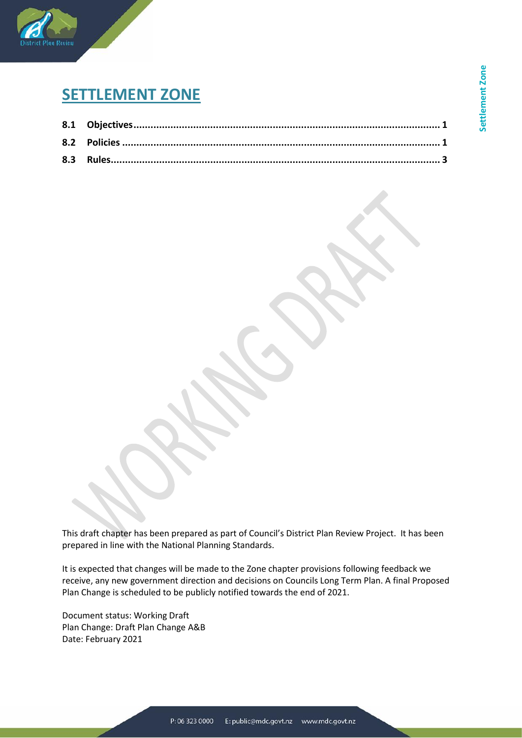

# **SETTLEMENT ZONE**

This draft chapter has been prepared as part of Council's District Plan Review Project.  It has been prepared in line with the National Planning Standards. 

It is expected that changes will be made to the Zone chapter provisions following feedback we receive, any new government direction and decisions on Councils Long Term Plan. A final Proposed Plan Change is scheduled to be publicly notified towards the end of 2021. 

Document status: Working Draft  Plan Change: Draft Plan Change A&B  Date: February 2021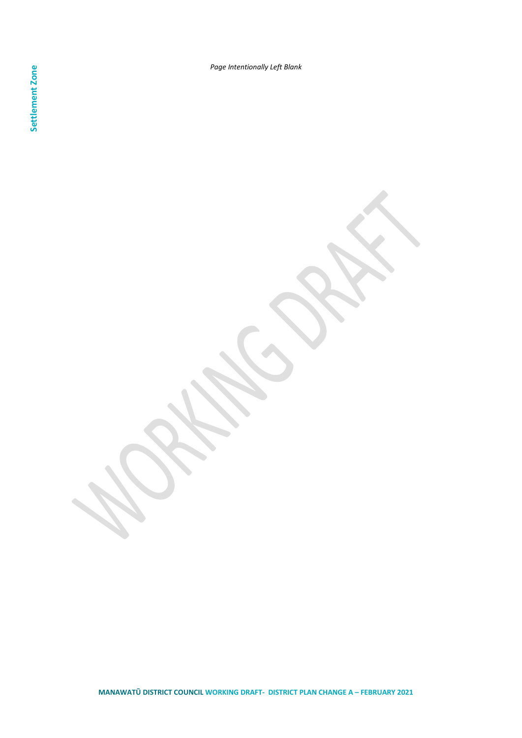*Page Intentionally Left Blank*

**MANAWATŪ DISTRICT COUNCIL WORKING DRAFT- DISTRICT PLAN CHANGE A – FEBRUARY 2021**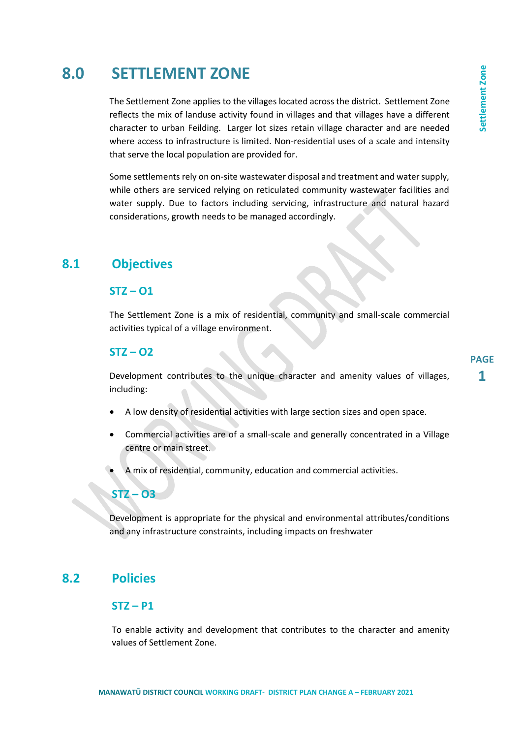# **8.0 SETTLEMENT ZONE**

The Settlement Zone applies to the villages located across the district. Settlement Zone reflects the mix of landuse activity found in villages and that villages have a different character to urban Feilding. Larger lot sizes retain village character and are needed where access to infrastructure is limited. Non-residential uses of a scale and intensity that serve the local population are provided for.

Some settlements rely on on-site wastewater disposal and treatment and water supply, while others are serviced relying on reticulated community wastewater facilities and water supply. Due to factors including servicing, infrastructure and natural hazard considerations, growth needs to be managed accordingly.

## <span id="page-2-0"></span>**8.1 Objectives**

#### **STZ – O1**

The Settlement Zone is a mix of residential, community and small-scale commercial activities typical of a village environment.

#### **STZ – O2**

Development contributes to the unique character and amenity values of villages, including:

- A low density of residential activities with large section sizes and open space.
- Commercial activities are of a small-scale and generally concentrated in a Village centre or main street.
- A mix of residential, community, education and commercial activities.

### **STZ – O3**

Development is appropriate for the physical and environmental attributes/conditions and any infrastructure constraints, including impacts on freshwater

### <span id="page-2-1"></span>**8.2 Policies**

#### **STZ – P1**

To enable activity and development that contributes to the character and amenity values of Settlement Zone.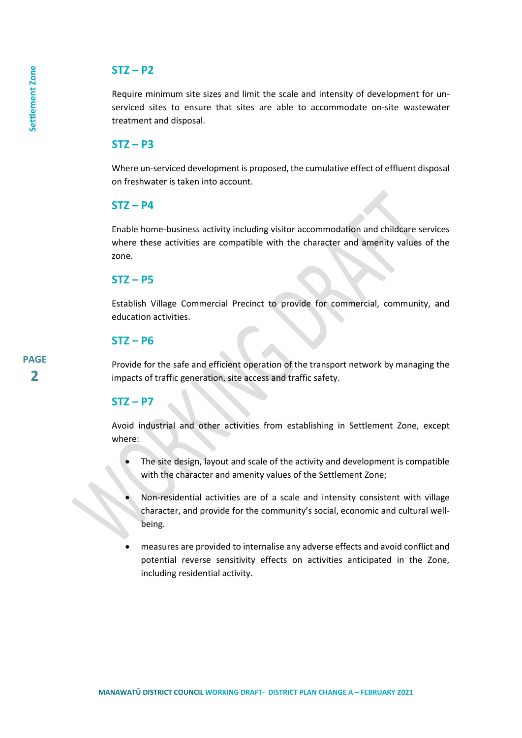#### **STZ – P2**

Require minimum site sizes and limit the scale and intensity of development for unserviced sites to ensure that sites are able to accommodate on-site wastewater treatment and disposal.

#### **STZ – P3**

Where un-serviced development is proposed, the cumulative effect of effluent disposal on freshwater is taken into account.

#### **STZ – P4**

Enable home-business activity including visitor accommodation and childcare services where these activities are compatible with the character and amenity values of the zone.

#### **STZ – P5**

Establish Village Commercial Precinct to provide for commercial, community, and education activities.

#### **STZ – P6**

Provide for the safe and efficient operation of the transport network by managing the impacts of traffic generation, site access and traffic safety.

#### **STZ – P7**

Avoid industrial and other activities from establishing in Settlement Zone, except where:

- The site design, layout and scale of the activity and development is compatible with the character and amenity values of the Settlement Zone;
- Non-residential activities are of a scale and intensity consistent with village character, and provide for the community's social, economic and cultural wellbeing.
- measures are provided to internalise any adverse effects and avoid conflict and potential reverse sensitivity effects on activities anticipated in the Zone, including residential activity.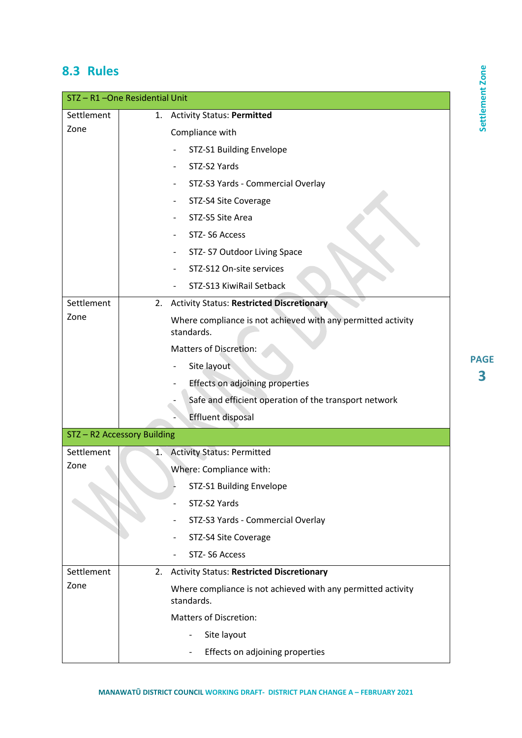## <span id="page-4-0"></span>**8.3 Rules**

|            | STZ-R1-One Residential Unit                                                |  |
|------------|----------------------------------------------------------------------------|--|
| Settlement | <b>Activity Status: Permitted</b><br>1.                                    |  |
| Zone       | Compliance with                                                            |  |
|            | STZ-S1 Building Envelope                                                   |  |
|            | STZ-S2 Yards                                                               |  |
|            | STZ-S3 Yards - Commercial Overlay                                          |  |
|            | STZ-S4 Site Coverage<br>$\overline{\phantom{a}}$                           |  |
|            | STZ-S5 Site Area                                                           |  |
|            | STZ-S6 Access                                                              |  |
|            | STZ-S7 Outdoor Living Space                                                |  |
|            | STZ-S12 On-site services                                                   |  |
|            | STZ-S13 KiwiRail Setback                                                   |  |
| Settlement | <b>Activity Status: Restricted Discretionary</b><br>2.                     |  |
| Zone       | Where compliance is not achieved with any permitted activity<br>standards. |  |
|            | Matters of Discretion:                                                     |  |
|            | Site layout                                                                |  |
|            | Effects on adjoining properties                                            |  |
|            | Safe and efficient operation of the transport network                      |  |
|            | <b>Effluent disposal</b>                                                   |  |
|            | STZ-R2 Accessory Building                                                  |  |
| Settlement | <b>Activity Status: Permitted</b><br>$\mathbf{1}$ .                        |  |
| Zone       | Where: Compliance with:                                                    |  |
|            | STZ-S1 Building Envelope                                                   |  |
|            | STZ-S2 Yards                                                               |  |
|            | STZ-S3 Yards - Commercial Overlay                                          |  |
|            | STZ-S4 Site Coverage                                                       |  |
|            | STZ-S6 Access                                                              |  |
| Settlement | 2. Activity Status: Restricted Discretionary                               |  |
| Zone       | Where compliance is not achieved with any permitted activity<br>standards. |  |
|            | <b>Matters of Discretion:</b>                                              |  |
|            | Site layout                                                                |  |
|            | Effects on adjoining properties                                            |  |

**PAGE 3**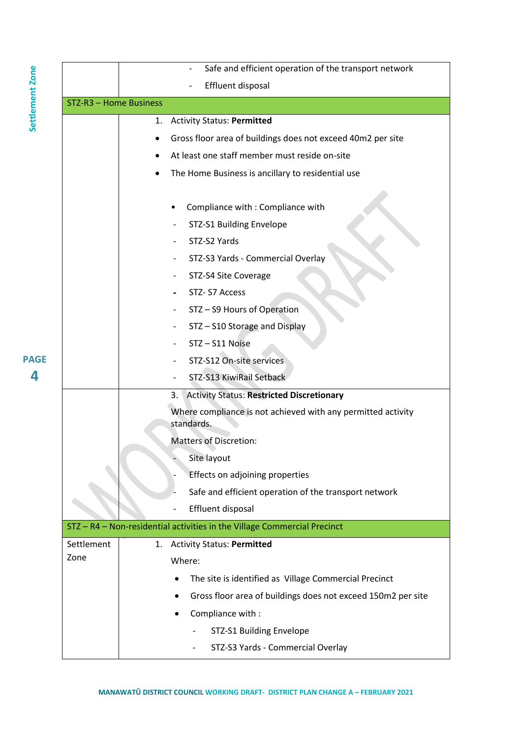|                 |                        |    | Safe and efficient operation of the transport network                      |
|-----------------|------------------------|----|----------------------------------------------------------------------------|
|                 |                        |    | Effluent disposal                                                          |
| Settlement Zone | STZ-R3 - Home Business |    |                                                                            |
|                 |                        | 1. | <b>Activity Status: Permitted</b>                                          |
|                 |                        |    | Gross floor area of buildings does not exceed 40m2 per site                |
|                 |                        |    | At least one staff member must reside on-site                              |
|                 |                        |    | The Home Business is ancillary to residential use                          |
|                 |                        |    |                                                                            |
|                 |                        |    | Compliance with: Compliance with                                           |
|                 |                        |    | STZ-S1 Building Envelope                                                   |
|                 |                        |    | STZ-S2 Yards                                                               |
|                 |                        |    | STZ-S3 Yards - Commercial Overlay                                          |
|                 |                        |    | STZ-S4 Site Coverage                                                       |
|                 |                        |    | STZ-S7 Access                                                              |
|                 |                        |    | STZ - S9 Hours of Operation                                                |
|                 |                        |    | STZ-S10 Storage and Display                                                |
|                 |                        |    | STZ-S11 Noise                                                              |
| <b>PAGE</b>     |                        |    | STZ-S12 On-site services                                                   |
| 4               |                        |    | STZ-S13 KiwiRail Setback                                                   |
|                 |                        |    | <b>Activity Status: Restricted Discretionary</b><br>3.                     |
|                 |                        |    | Where compliance is not achieved with any permitted activity<br>standards. |
|                 |                        |    | <b>Matters of Discretion:</b>                                              |
|                 |                        |    | Site layout                                                                |
|                 |                        |    | Effects on adjoining properties                                            |
|                 |                        |    | Safe and efficient operation of the transport network                      |
|                 |                        |    | Effluent disposal                                                          |
|                 |                        |    | STZ-R4-Non-residential activities in the Village Commercial Precinct       |
|                 | Settlement             | 1. | <b>Activity Status: Permitted</b>                                          |
|                 | Zone                   |    | Where:                                                                     |
|                 |                        |    | The site is identified as Village Commercial Precinct                      |
|                 |                        |    | Gross floor area of buildings does not exceed 150m2 per site               |
|                 |                        |    | Compliance with:                                                           |
|                 |                        |    | STZ-S1 Building Envelope                                                   |
|                 |                        |    | STZ-S3 Yards - Commercial Overlay                                          |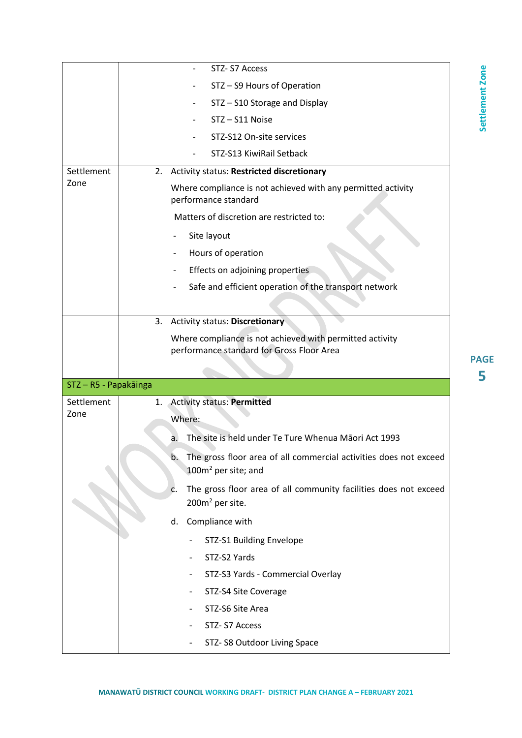| Settlement<br>Zone  | STZ-S9 Hours of Operation<br>STZ-S10 Storage and Display<br>STZ-S11 Noise<br>STZ-S12 On-site services<br>STZ-S13 KiwiRail Setback<br>Activity status: Restricted discretionary<br>2.<br>Where compliance is not achieved with any permitted activity |
|---------------------|------------------------------------------------------------------------------------------------------------------------------------------------------------------------------------------------------------------------------------------------------|
|                     |                                                                                                                                                                                                                                                      |
|                     |                                                                                                                                                                                                                                                      |
|                     |                                                                                                                                                                                                                                                      |
|                     |                                                                                                                                                                                                                                                      |
|                     |                                                                                                                                                                                                                                                      |
|                     |                                                                                                                                                                                                                                                      |
|                     | performance standard                                                                                                                                                                                                                                 |
|                     | Matters of discretion are restricted to:                                                                                                                                                                                                             |
|                     | Site layout                                                                                                                                                                                                                                          |
|                     | Hours of operation                                                                                                                                                                                                                                   |
|                     | Effects on adjoining properties                                                                                                                                                                                                                      |
|                     | Safe and efficient operation of the transport network                                                                                                                                                                                                |
|                     |                                                                                                                                                                                                                                                      |
|                     | <b>Activity status: Discretionary</b><br>3.                                                                                                                                                                                                          |
|                     | Where compliance is not achieved with permitted activity                                                                                                                                                                                             |
|                     | performance standard for Gross Floor Area                                                                                                                                                                                                            |
|                     |                                                                                                                                                                                                                                                      |
| STZ-R5 - Papakāinga |                                                                                                                                                                                                                                                      |
| Settlement          | <b>Activity status: Permitted</b><br>1.                                                                                                                                                                                                              |
|                     | Where:                                                                                                                                                                                                                                               |
|                     | The site is held under Te Ture Whenua Maori Act 1993<br>ā.                                                                                                                                                                                           |
|                     | The gross floor area of all commercial activities does not exceed<br>b.<br>$100m2$ per site; and                                                                                                                                                     |
|                     | The gross floor area of all community facilities does not exceed<br>$\mathsf{C}$ .<br>200m <sup>2</sup> per site.                                                                                                                                    |
|                     | Compliance with<br>d.                                                                                                                                                                                                                                |
|                     | STZ-S1 Building Envelope                                                                                                                                                                                                                             |
|                     | STZ-S2 Yards<br>$\overline{\phantom{a}}$                                                                                                                                                                                                             |
|                     | STZ-S3 Yards - Commercial Overlay                                                                                                                                                                                                                    |
|                     | STZ-S4 Site Coverage<br>$\overline{\phantom{a}}$                                                                                                                                                                                                     |
|                     | STZ-S6 Site Area                                                                                                                                                                                                                                     |
|                     |                                                                                                                                                                                                                                                      |
|                     | STZ-S7 Access                                                                                                                                                                                                                                        |
| Zone                |                                                                                                                                                                                                                                                      |

**MANAWATŪ DISTRICT COUNCIL WORKING DRAFT- DISTRICT PLAN CHANGE A – FEBRUARY 2021**

**PAGE 5**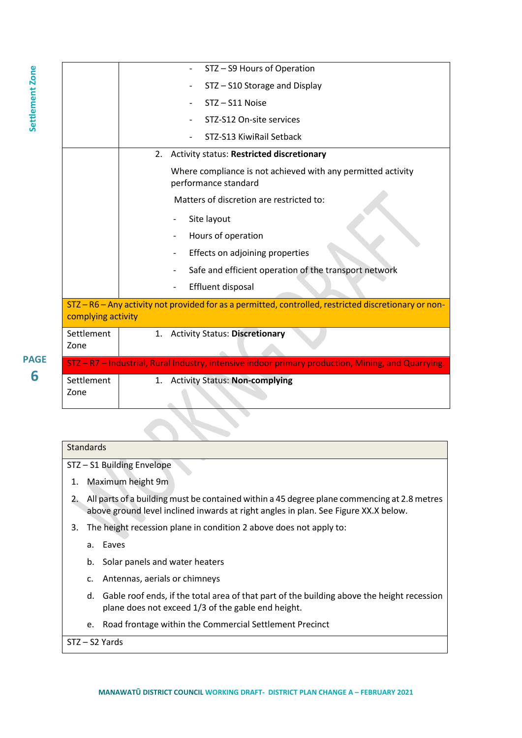|                                                                                                                         | STZ - S9 Hours of Operation                                                                    |  |
|-------------------------------------------------------------------------------------------------------------------------|------------------------------------------------------------------------------------------------|--|
|                                                                                                                         | STZ - S10 Storage and Display                                                                  |  |
|                                                                                                                         | STZ-S11 Noise                                                                                  |  |
|                                                                                                                         | STZ-S12 On-site services                                                                       |  |
|                                                                                                                         | STZ-S13 KiwiRail Setback                                                                       |  |
|                                                                                                                         | 2.<br>Activity status: Restricted discretionary                                                |  |
|                                                                                                                         | Where compliance is not achieved with any permitted activity<br>performance standard           |  |
|                                                                                                                         | Matters of discretion are restricted to:                                                       |  |
|                                                                                                                         | Site layout                                                                                    |  |
|                                                                                                                         | Hours of operation                                                                             |  |
|                                                                                                                         | Effects on adjoining properties                                                                |  |
|                                                                                                                         | Safe and efficient operation of the transport network                                          |  |
|                                                                                                                         | Effluent disposal                                                                              |  |
| STZ-R6-Any activity not provided for as a permitted, controlled, restricted discretionary or non-<br>complying activity |                                                                                                |  |
| Settlement<br>Zone                                                                                                      | <b>Activity Status: Discretionary</b><br>1.                                                    |  |
|                                                                                                                         | STZ-R7-Industrial, Rural Industry, intensive indoor primary production, Mining, and Quarrying. |  |
| Settlement<br>Zone                                                                                                      | <b>Activity Status: Non-complying</b><br>1.                                                    |  |

| ٠<br>$\overline{\phantom{a}}$ |  |
|-------------------------------|--|
| . .                           |  |

**Settlement Zone** 

Settlement Zone

| <b>Standards</b> |                                                                    |                                                                                                                                                                                    |  |
|------------------|--------------------------------------------------------------------|------------------------------------------------------------------------------------------------------------------------------------------------------------------------------------|--|
|                  |                                                                    | STZ-S1 Building Envelope                                                                                                                                                           |  |
| 1.               |                                                                    | Maximum height 9m                                                                                                                                                                  |  |
| 2.               |                                                                    | All parts of a building must be contained within a 45 degree plane commencing at 2.8 metres<br>above ground level inclined inwards at right angles in plan. See Figure XX.X below. |  |
| 3.               | The height recession plane in condition 2 above does not apply to: |                                                                                                                                                                                    |  |
|                  | a.                                                                 | Eaves                                                                                                                                                                              |  |
|                  |                                                                    | b. Solar panels and water heaters                                                                                                                                                  |  |
|                  | c.                                                                 | Antennas, aerials or chimneys                                                                                                                                                      |  |
|                  | d.                                                                 | Gable roof ends, if the total area of that part of the building above the height recession                                                                                         |  |

- plane does not exceed 1/3 of the gable end height.
- e. Road frontage within the Commercial Settlement Precinct

STZ – S2 Yards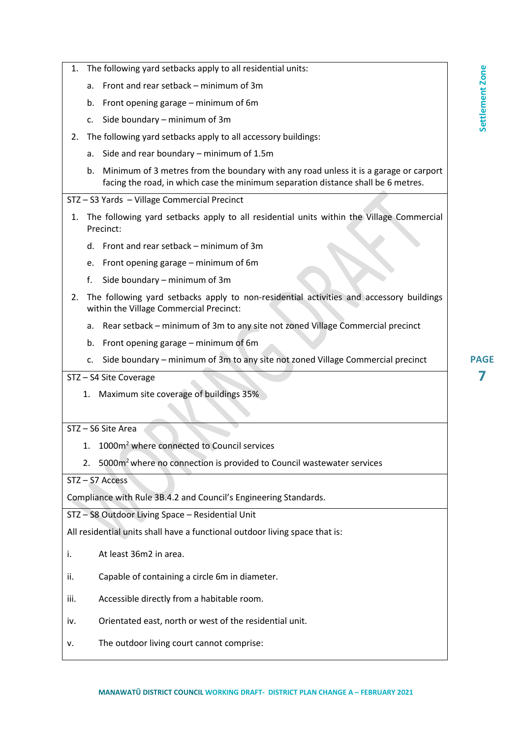- 1. The following yard setbacks apply to all residential units:
	- a. Front and rear setback minimum of 3m
	- b. Front opening garage minimum of 6m
	- c. Side boundary minimum of 3m
- 2. The following yard setbacks apply to all accessory buildings:
	- a. Side and rear boundary minimum of 1.5m
	- b. Minimum of 3 metres from the boundary with any road unless it is a garage or carport facing the road, in which case the minimum separation distance shall be 6 metres.

STZ – S3 Yards – Village Commercial Precinct

- 1. The following yard setbacks apply to all residential units within the Village Commercial Precinct:
	- d. Front and rear setback minimum of 3m
	- e. Front opening garage minimum of 6m
	- f. Side boundary minimum of 3m
- 2. The following yard setbacks apply to non-residential activities and accessory buildings within the Village Commercial Precinct:
	- a. Rear setback minimum of 3m to any site not zoned Village Commercial precinct
	- b. Front opening garage minimum of 6m
	- c. Side boundary minimum of 3m to any site not zoned Village Commercial precinct

STZ – S4 Site Coverage

1. Maximum site coverage of buildings 35%

 $\overline{STZ}$  – S<sub>6</sub> Site Area

- 1. 1000m<sup>2</sup> where connected to Council services
- 2. 5000m<sup>2</sup> where no connection is provided to Council wastewater services

STZ – S7 Access

Compliance with Rule 3B.4.2 and Council's Engineering Standards.

STZ – S8 Outdoor Living Space – Residential Unit

All residential units shall have a functional outdoor living space that is:

- i. At least 36m2 in area.
- ii. Capable of containing a circle 6m in diameter.
- iii. Accessible directly from a habitable room.
- iv. Orientated east, north or west of the residential unit.
- v. The outdoor living court cannot comprise: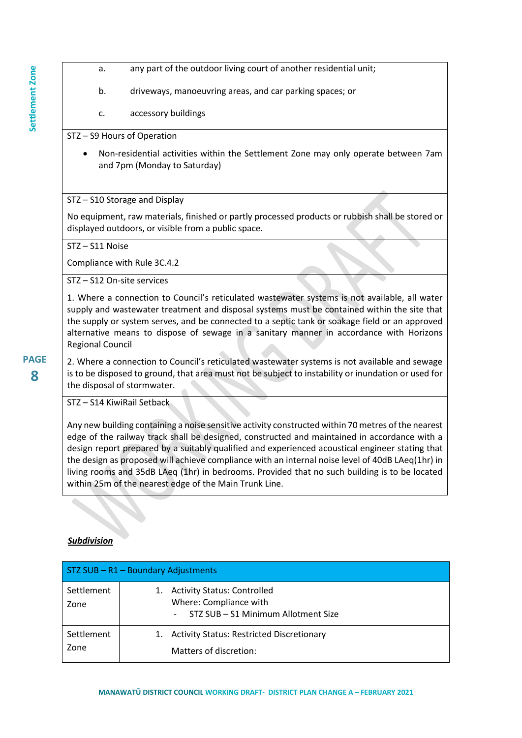|                                                                                                                                                                                                                                                                                                                                                                                                                      | a.                                                                                                                                                                                                                                  | any part of the outdoor living court of another residential unit;                                                  |  |
|----------------------------------------------------------------------------------------------------------------------------------------------------------------------------------------------------------------------------------------------------------------------------------------------------------------------------------------------------------------------------------------------------------------------|-------------------------------------------------------------------------------------------------------------------------------------------------------------------------------------------------------------------------------------|--------------------------------------------------------------------------------------------------------------------|--|
|                                                                                                                                                                                                                                                                                                                                                                                                                      | b.                                                                                                                                                                                                                                  | driveways, manoeuvring areas, and car parking spaces; or                                                           |  |
|                                                                                                                                                                                                                                                                                                                                                                                                                      | c.                                                                                                                                                                                                                                  | accessory buildings                                                                                                |  |
|                                                                                                                                                                                                                                                                                                                                                                                                                      |                                                                                                                                                                                                                                     | STZ-S9 Hours of Operation                                                                                          |  |
|                                                                                                                                                                                                                                                                                                                                                                                                                      |                                                                                                                                                                                                                                     | Non-residential activities within the Settlement Zone may only operate between 7am<br>and 7pm (Monday to Saturday) |  |
|                                                                                                                                                                                                                                                                                                                                                                                                                      |                                                                                                                                                                                                                                     | STZ-S10 Storage and Display                                                                                        |  |
| No equipment, raw materials, finished or partly processed products or rubbish shall be stored or<br>displayed outdoors, or visible from a public space.                                                                                                                                                                                                                                                              |                                                                                                                                                                                                                                     |                                                                                                                    |  |
| STZ-S11 Noise                                                                                                                                                                                                                                                                                                                                                                                                        |                                                                                                                                                                                                                                     |                                                                                                                    |  |
| Compliance with Rule 3C.4.2                                                                                                                                                                                                                                                                                                                                                                                          |                                                                                                                                                                                                                                     |                                                                                                                    |  |
|                                                                                                                                                                                                                                                                                                                                                                                                                      |                                                                                                                                                                                                                                     | STZ-S12 On-site services                                                                                           |  |
| 1. Where a connection to Council's reticulated wastewater systems is not available, all water<br>supply and wastewater treatment and disposal systems must be contained within the site that<br>the supply or system serves, and be connected to a septic tank or soakage field or an approved<br>alternative means to dispose of sewage in a sanitary manner in accordance with Horizons<br><b>Regional Council</b> |                                                                                                                                                                                                                                     |                                                                                                                    |  |
|                                                                                                                                                                                                                                                                                                                                                                                                                      | 2. Where a connection to Council's reticulated wastewater systems is not available and sewage<br>is to be disposed to ground, that area must not be subject to instability or inundation or used for<br>the disposal of stormwater. |                                                                                                                    |  |
|                                                                                                                                                                                                                                                                                                                                                                                                                      |                                                                                                                                                                                                                                     | STZ-S14 KiwiRail Setback                                                                                           |  |
|                                                                                                                                                                                                                                                                                                                                                                                                                      |                                                                                                                                                                                                                                     | Any new building containing a noise sensitive activity constructed within 70 metres of the nearest                 |  |

edge of the railway track shall be designed, constructed and maintained in accordance with a design report prepared by a suitably qualified and experienced acoustical engineer stating that the design as proposed will achieve compliance with an internal noise level of 40dB LAeq(1hr) in living rooms and 35dB LAeq (1hr) in bedrooms. Provided that no such building is to be located within 25m of the nearest edge of the Main Trunk Line.

#### *Subdivision*

| STZ SUB - R1 - Boundary Adjustments |                                                                                                                                 |  |  |
|-------------------------------------|---------------------------------------------------------------------------------------------------------------------------------|--|--|
| Settlement<br>Zone                  | <b>Activity Status: Controlled</b><br>Where: Compliance with<br>STZ SUB - S1 Minimum Allotment Size<br>$\overline{\phantom{a}}$ |  |  |
| Settlement<br>Zone                  | <b>Activity Status: Restricted Discretionary</b><br>Matters of discretion:                                                      |  |  |

**PAGE 8**